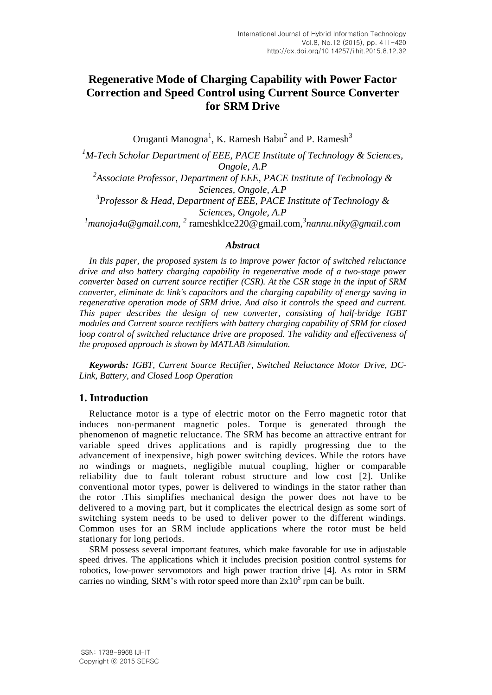# **Regenerative Mode of Charging Capability with Power Factor Correction and Speed Control using Current Source Converter for SRM Drive**

Oruganti Manogna<sup>1</sup>, K. Ramesh Babu<sup>2</sup> and P. Ramesh<sup>3</sup>

*<sup>1</sup>M-Tech Scholar Department of EEE, PACE Institute of Technology & Sciences, Ongole, A.P 2 Associate Professor, Department of EEE, PACE Institute of Technology & Sciences, Ongole, A.P 3 Professor & Head, Department of EEE, PACE Institute of Technology & Sciences, Ongole, A.P* <sup>1</sup> manoja4u@gmail.com, <sup>2</sup> rameshklce220@gmail.com, <sup>3</sup>nannu.niky@gmail.com

#### *Abstract*

*In this paper, the proposed system is to improve power factor of switched reluctance drive and also battery charging capability in regenerative mode of a two-stage power converter based on current source rectifier (CSR). At the CSR stage in the input of SRM converter, eliminate dc link's capacitors and the charging capability of energy saving in regenerative operation mode of SRM drive. And also it controls the speed and current. This paper describes the design of new converter, consisting of half-bridge IGBT modules and Current source rectifiers with battery charging capability of SRM for closed loop control of switched reluctance drive are proposed. The validity and effectiveness of the proposed approach is shown by MATLAB /simulation.*

*Keywords: IGBT, Current Source Rectifier, Switched Reluctance Motor Drive, DC-Link, Battery, and Closed Loop Operation*

# **1. Introduction**

Reluctance motor is a type of electric motor on the Ferro magnetic rotor that induces non-permanent magnetic poles. Torque is generated through the phenomenon of magnetic reluctance. The SRM has become an attractive entrant for variable speed drives applications and is rapidly progressing due to the advancement of inexpensive, high power switching devices. While the rotors have no windings or magnets, negligible mutual coupling, higher or comparable reliability due to fault tolerant robust structure and low cost [2]. Unlike conventional motor types, power is delivered to windings in the stator rather than the rotor .This simplifies mechanical design the power does not have to be delivered to a moving part, but it complicates the electrical design as some sort of switching system needs to be used to deliver power to the different windings. Common uses for an SRM include applications where the rotor must be held stationary for long periods.

SRM possess several important features, which make favorable for use in adjustable speed drives. The applications which it includes precision position control systems for robotics, low-power servomotors and high power traction drive [4]. As rotor in SRM carries no winding, SRM's with rotor speed more than  $2x10<sup>5</sup>$  rpm can be built.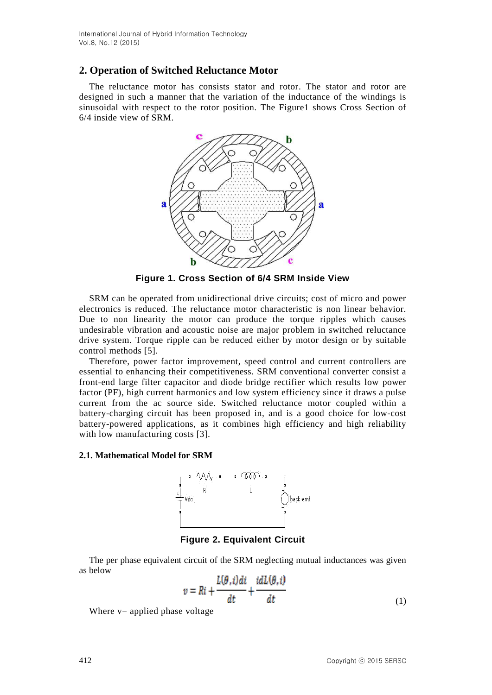# **2. Operation of Switched Reluctance Motor**

The reluctance motor has consists stator and rotor. The stator and rotor are designed in such a manner that the variation of the inductance of the windings is sinusoidal with respect to the rotor position. The Figure1 shows Cross Section of 6/4 inside view of SRM.



**Figure 1. Cross Section of 6/4 SRM Inside View**

SRM can be operated from unidirectional drive circuits; cost of micro and power electronics is reduced. The reluctance motor characteristic is non linear behavior. Due to non linearity the motor can produce the torque ripples which causes undesirable vibration and acoustic noise are major problem in switched reluctance drive system. Torque ripple can be reduced either by motor design or by suitable control methods [5].

Therefore, power factor improvement, speed control and current controllers are essential to enhancing their competitiveness. SRM conventional converter consist a front-end large filter capacitor and diode bridge rectifier which results low power factor (PF), high current harmonics and low system efficiency since it draws a pulse current from the ac source side. Switched reluctance motor coupled within a battery-charging circuit has been proposed in, and is a good choice for low-cost battery-powered applications, as it combines high efficiency and high reliability with low manufacturing costs [3].

#### **2.1. Mathematical Model for SRM**



**Figure 2. Equivalent Circuit**

The per phase equivalent circuit of the SRM neglecting mutual inductances was given as below

$$
v = Ri + \frac{L(\theta, i)di}{dt} + \frac{idL(\theta, i)}{dt}
$$
\n(1)

Where  $v=$  applied phase voltage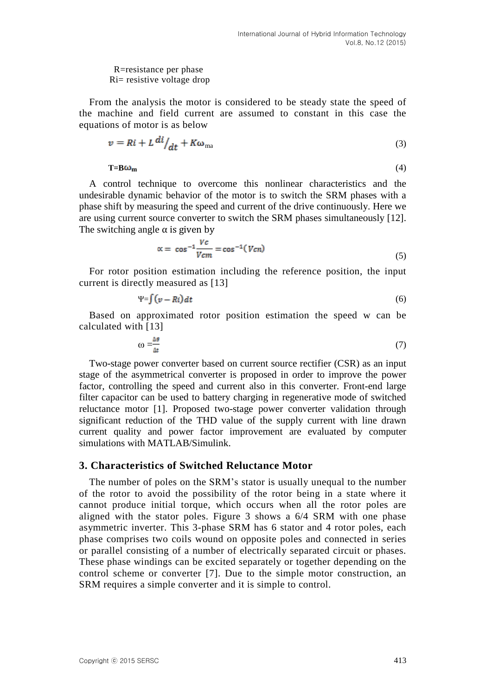R=resistance per phase Ri= resistive voltage drop

From the analysis the motor is considered to be steady state the speed of the machine and field current are assumed to constant in this case the equations of motor is as below

$$
v = Ri + L^{di} /_{dt} + K\omega_{\text{ma}} \tag{3}
$$

 $\mathbf{T} = \mathbf{B} \boldsymbol{\omega}_{\mathbf{m}}$  (4)

A control technique to overcome this nonlinear characteristics and the undesirable dynamic behavior of the motor is to switch the SRM phases with a phase shift by measuring the speed and current of the drive continuously. Here we are using current source converter to switch the SRM phases simultaneously [12]. The switching angle  $\alpha$  is given by

$$
\alpha = \cos^{-1} \frac{Vc}{Vcm} = \cos^{-1}(Vcn) \tag{5}
$$

For rotor position estimation including the reference position, the input current is directly measured as [13]

$$
\Psi = \int (v - Ri) dt \tag{6}
$$

Based on approximated rotor position estimation the speed w can be calculated with [13]

$$
\omega = \frac{\Delta \theta}{\Delta t} \tag{7}
$$

Two-stage power converter based on current source rectifier (CSR) as an input stage of the asymmetrical converter is proposed in order to improve the power factor, controlling the speed and current also in this converter. Front-end large filter capacitor can be used to battery charging in regenerative mode of switched reluctance motor [1]. Proposed two-stage power converter validation through significant reduction of the THD value of the supply current with line drawn current quality and power factor improvement are evaluated by computer simulations with MATLAB/Simulink.

### **3. Characteristics of Switched Reluctance Motor**

The number of poles on the SRM's stator is usually unequal to the number of the rotor to avoid the possibility of the rotor being in a state where it cannot produce initial torque, which occurs when all the rotor poles are aligned with the stator poles. Figure 3 shows a 6/4 SRM with one phase asymmetric inverter. This 3-phase SRM has 6 stator and 4 rotor poles, each phase comprises two coils wound on opposite poles and connected in series or parallel consisting of a number of electrically separated circuit or phases. These phase windings can be excited separately or together depending on the control scheme or converter [7]. Due to the simple motor construction, an SRM requires a simple converter and it is simple to control.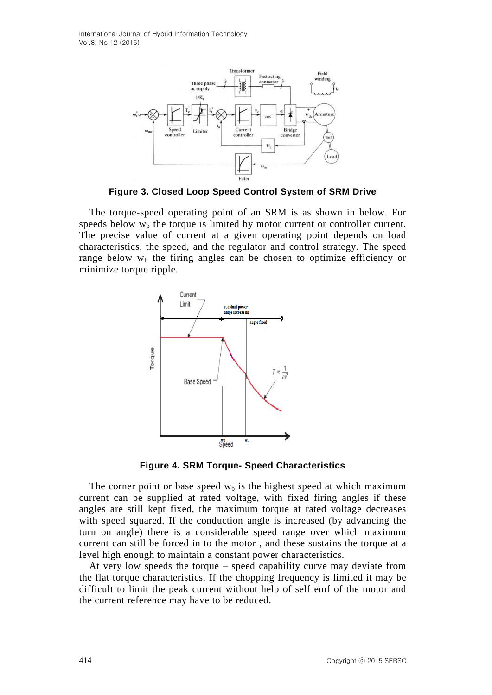International Journal of Hybrid Information Technology Vol.8, No.12 (2015)



**Figure 3. Closed Loop Speed Control System of SRM Drive**

The torque-speed operating point of an SRM is as shown in below. For speeds below  $w<sub>b</sub>$ , the torque is limited by motor current or controller current. The precise value of current at a given operating point depends on load characteristics, the speed, and the regulator and control strategy. The speed range below  $w<sub>b</sub>$  the firing angles can be chosen to optimize efficiency or minimize torque ripple.



**Figure 4. SRM Torque- Speed Characteristics**

The corner point or base speed  $w<sub>b</sub>$  is the highest speed at which maximum current can be supplied at rated voltage, with fixed firing angles if these angles are still kept fixed, the maximum torque at rated voltage decreases with speed squared. If the conduction angle is increased (by advancing the turn on angle) there is a considerable speed range over which maximum current can still be forced in to the motor , and these sustains the torque at a level high enough to maintain a constant power characteristics.

At very low speeds the torque – speed capability curve may deviate from the flat torque characteristics. If the chopping frequency is limited it may be difficult to limit the peak current without help of self emf of the motor and the current reference may have to be reduced.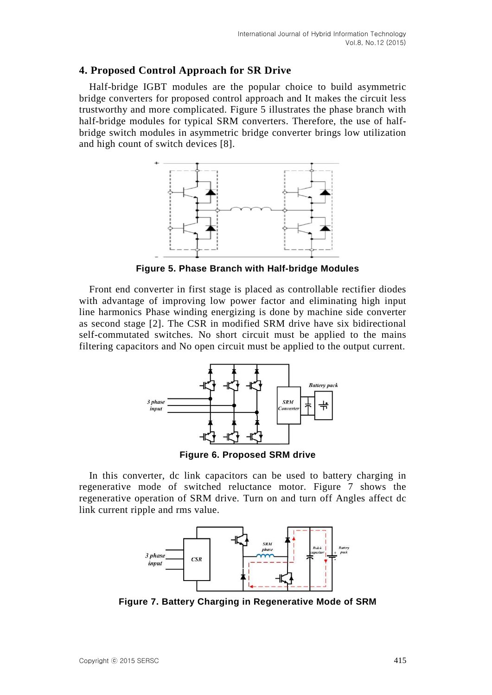# **4. Proposed Control Approach for SR Drive**

Half-bridge IGBT modules are the popular choice to build asymmetric bridge converters for proposed control approach and It makes the circuit less trustworthy and more complicated. Figure 5 illustrates the phase branch with half-bridge modules for typical SRM converters. Therefore, the use of halfbridge switch modules in asymmetric bridge converter brings low utilization and high count of switch devices [8].



**Figure 5. Phase Branch with Half-bridge Modules**

Front end converter in first stage is placed as controllable rectifier diodes with advantage of improving low power factor and eliminating high input line harmonics Phase winding energizing is done by machine side converter as second stage [2]. The CSR in modified SRM drive have six bidirectional self-commutated switches. No short circuit must be applied to the mains filtering capacitors and No open circuit must be applied to the output current.



**Figure 6. Proposed SRM drive**

In this converter, dc link capacitors can be used to battery charging in regenerative mode of switched reluctance motor. Figure 7 shows the regenerative operation of SRM drive. Turn on and turn off Angles affect dc link current ripple and rms value.



**Figure 7. Battery Charging in Regenerative Mode of SRM**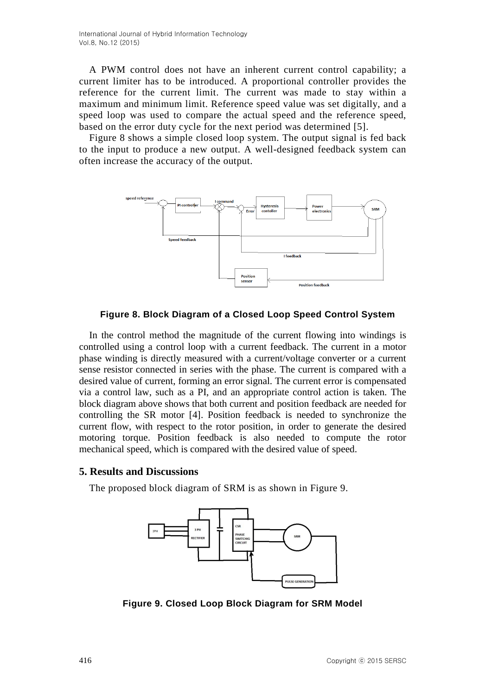A PWM control does not have an inherent current control capability; a current limiter has to be introduced. A proportional controller provides the reference for the current limit. The current was made to stay within a maximum and minimum limit. Reference speed value was set digitally, and a speed loop was used to compare the actual speed and the reference speed, based on the error duty cycle for the next period was determined [5].

Figure 8 shows a simple closed loop system. The output signal is fed back to the input to produce a new output. A well-designed feedback system can often increase the accuracy of the output.



**Figure 8. Block Diagram of a Closed Loop Speed Control System**

In the control method the magnitude of the current flowing into windings is controlled using a control loop with a current feedback. The current in a motor phase winding is directly measured with a current/voltage converter or a current sense resistor connected in series with the phase. The current is compared with a desired value of current, forming an error signal. The current error is compensated via a control law, such as a PI, and an appropriate control action is taken. The block diagram above shows that both current and position feedback are needed for controlling the SR motor [4]. Position feedback is needed to synchronize the current flow, with respect to the rotor position, in order to generate the desired motoring torque. Position feedback is also needed to compute the rotor mechanical speed, which is compared with the desired value of speed.

## **5. Results and Discussions**

The proposed block diagram of SRM is as shown in Figure 9.



**Figure 9. Closed Loop Block Diagram for SRM Model**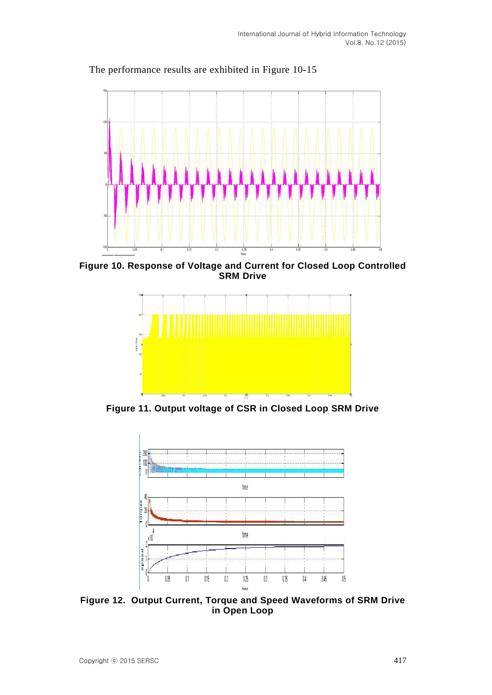

The performance results are exhibited in Figure 10-15

**Figure 10. Response of Voltage and Current for Closed Loop Controlled SRM Drive**



**Figure 11. Output voltage of CSR in Closed Loop SRM Drive**



**Figure 12. Output Current, Torque and Speed Waveforms of SRM Drive in Open Loop**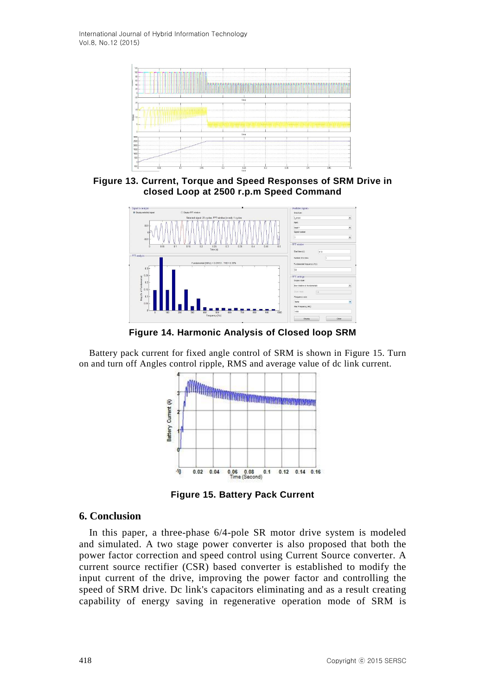International Journal of Hybrid Information Technology Vol.8, No.12 (2015)



**Figure 13. Current, Torque and Speed Responses of SRM Drive in closed Loop at 2500 r.p.m Speed Command**



**Figure 14. Harmonic Analysis of Closed loop SRM**

Battery pack current for fixed angle control of SRM is shown in Figure 15. Turn on and turn off Angles control ripple, RMS and average value of dc link current.



**Figure 15. Battery Pack Current**

## **6. Conclusion**

In this paper, a three-phase 6/4-pole SR motor drive system is modeled and simulated. A two stage power converter is also proposed that both the power factor correction and speed control using Current Source converter. A current source rectifier (CSR) based converter is established to modify the input current of the drive, improving the power factor and controlling the speed of SRM drive. Dc link's capacitors eliminating and as a result creating capability of energy saving in regenerative operation mode of SRM is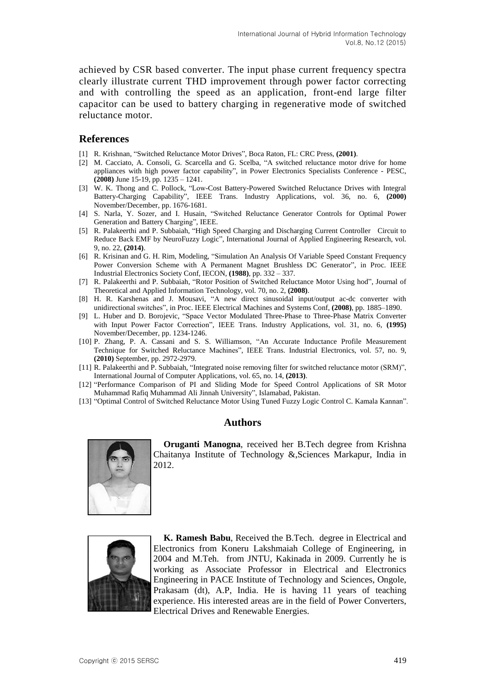achieved by CSR based converter. The input phase current frequency spectra clearly illustrate current THD improvement through power factor correcting and with controlling the speed as an application, front-end large filter capacitor can be used to battery charging in regenerative mode of switched reluctance motor.

### **References**

- [1] R. Krishnan, "Switched Reluctance Motor Drives", Boca Raton, FL: CRC Press, **(2001)**.
- [2] M. Cacciato, A. Consoli, G. Scarcella and G. Scelba, "A switched reluctance motor drive for home appliances with high power factor capability", in Power Electronics Specialists Conference - PESC, **(2008)** June 15-19, pp. 1235 – 1241.
- [3] W. K. Thong and C. Pollock, "Low-Cost Battery-Powered Switched Reluctance Drives with Integral Battery-Charging Capability", IEEE Trans. Industry Applications, vol. 36, no. 6, **(2000)** November/December, pp. 1676-1681.
- [4] S. Narla, Y. Sozer, and I. Husain, "Switched Reluctance Generator Controls for Optimal Power Generation and Battery Charging", IEEE.
- [5] R. Palakeerthi and P. Subbaiah, "High Speed Charging and Discharging Current Controller Circuit to Reduce Back EMF by NeuroFuzzy Logic", International Journal of Applied Engineering Research, vol. 9, no. 22, **(2014)**.
- [6] R. Krisinan and G. H. Rim, Modeling, "Simulation An Analysis Of Variable Speed Constant Frequency Power Conversion Scheme with A Permanent Magnet Brushless DC Generator", in Proc. IEEE Industrial Electronics Society Conf, IECON, **(1988)**, pp. 332 – 337.
- [7] R. Palakeerthi and P. Subbaiah, "Rotor Position of Switched Reluctance Motor Using hod", Journal of Theoretical and Applied Information Technology, vol. 70, no. 2, **(2008)**.
- [8] H. R. Karshenas and J. Mousavi, "A new direct sinusoidal input/output ac-dc converter with unidirectional switches", in Proc. IEEE Electrical Machines and Systems Conf, **(2008)**, pp. 1885–1890.
- [9] L. Huber and D. Borojevic, "Space Vector Modulated Three-Phase to Three-Phase Matrix Converter with Input Power Factor Correction", IEEE Trans. Industry Applications, vol. 31, no. 6, **(1995)** November/December, pp. 1234-1246.
- [10] P. Zhang, P. A. Cassani and S. S. Williamson, "An Accurate Inductance Profile Measurement Technique for Switched Reluctance Machines", IEEE Trans. Industrial Electronics, vol. 57, no. 9, **(2010)** September, pp. 2972-2979.
- [11] R. Palakeerthi and P. Subbaiah, "Integrated noise removing filter for switched reluctance motor (SRM)", International Journal of Computer Applications, vol. 65, no. 14, **(2013)**.
- [12] "Performance Comparison of PI and Sliding Mode for Speed Control Applications of SR Motor Muhammad Rafiq Muhammad Ali Jinnah University", Islamabad, Pakistan.
- [13] "Optimal Control of Switched Reluctance Motor Using Tuned Fuzzy Logic Control C. Kamala Kannan".

#### **Authors**



**Oruganti Manogna**, received her B.Tech degree from Krishna Chaitanya Institute of Technology &,Sciences Markapur, India in 2012.



**K. Ramesh Babu**, Received the B.Tech. degree in Electrical and Electronics from Koneru Lakshmaiah College of Engineering, in 2004 and M.Teh. from JNTU, Kakinada in 2009. Currently he is working as Associate Professor in Electrical and Electronics Engineering in PACE Institute of Technology and Sciences, Ongole, Prakasam (dt), A.P, India. He is having 11 years of teaching experience. His interested areas are in the field of Power Converters, Electrical Drives and Renewable Energies.